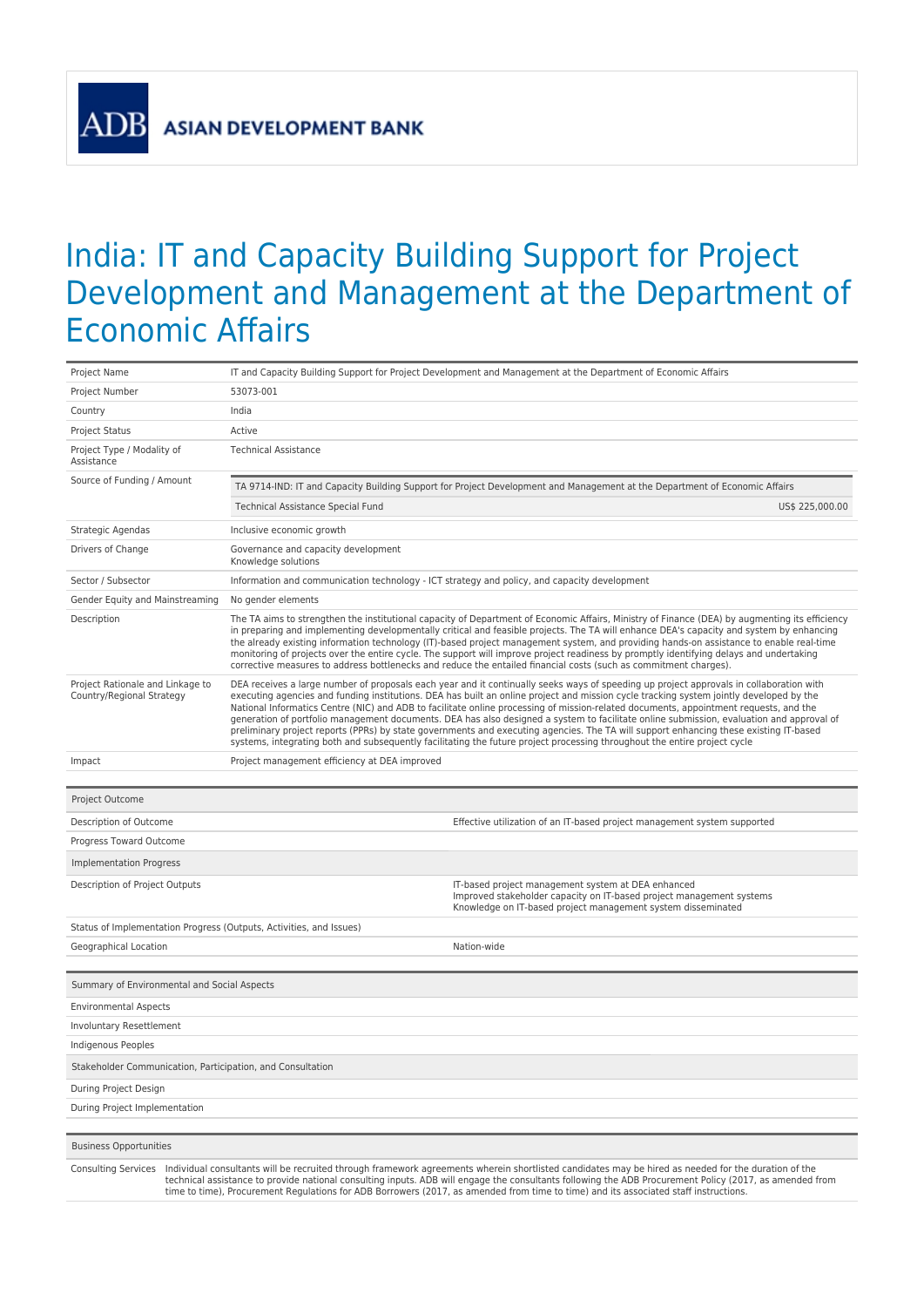**ASIAN DEVELOPMENT BANK** 

 $AI$ 

## India: IT and Capacity Building Support for Project Development and Management at the Department of Economic Affairs

| Project Name                                                        |                                                                                                                                                                                                                                                                                                                                                                                                                                                                                                                                                                                                                                                                                                                                                                                                                                               | IT and Capacity Building Support for Project Development and Management at the Department of Economic Affairs                                                                              |  |
|---------------------------------------------------------------------|-----------------------------------------------------------------------------------------------------------------------------------------------------------------------------------------------------------------------------------------------------------------------------------------------------------------------------------------------------------------------------------------------------------------------------------------------------------------------------------------------------------------------------------------------------------------------------------------------------------------------------------------------------------------------------------------------------------------------------------------------------------------------------------------------------------------------------------------------|--------------------------------------------------------------------------------------------------------------------------------------------------------------------------------------------|--|
| Project Number                                                      | 53073-001                                                                                                                                                                                                                                                                                                                                                                                                                                                                                                                                                                                                                                                                                                                                                                                                                                     |                                                                                                                                                                                            |  |
| Country                                                             | India                                                                                                                                                                                                                                                                                                                                                                                                                                                                                                                                                                                                                                                                                                                                                                                                                                         |                                                                                                                                                                                            |  |
| <b>Project Status</b>                                               | Active                                                                                                                                                                                                                                                                                                                                                                                                                                                                                                                                                                                                                                                                                                                                                                                                                                        |                                                                                                                                                                                            |  |
| Project Type / Modality of<br>Assistance                            | <b>Technical Assistance</b>                                                                                                                                                                                                                                                                                                                                                                                                                                                                                                                                                                                                                                                                                                                                                                                                                   |                                                                                                                                                                                            |  |
| Source of Funding / Amount                                          |                                                                                                                                                                                                                                                                                                                                                                                                                                                                                                                                                                                                                                                                                                                                                                                                                                               | TA 9714-IND: IT and Capacity Building Support for Project Development and Management at the Department of Economic Affairs                                                                 |  |
|                                                                     | Technical Assistance Special Fund                                                                                                                                                                                                                                                                                                                                                                                                                                                                                                                                                                                                                                                                                                                                                                                                             | US\$ 225,000.00                                                                                                                                                                            |  |
| Strategic Agendas                                                   | Inclusive economic growth                                                                                                                                                                                                                                                                                                                                                                                                                                                                                                                                                                                                                                                                                                                                                                                                                     |                                                                                                                                                                                            |  |
| Drivers of Change                                                   | Governance and capacity development<br>Knowledge solutions                                                                                                                                                                                                                                                                                                                                                                                                                                                                                                                                                                                                                                                                                                                                                                                    |                                                                                                                                                                                            |  |
| Sector / Subsector                                                  | Information and communication technology - ICT strategy and policy, and capacity development                                                                                                                                                                                                                                                                                                                                                                                                                                                                                                                                                                                                                                                                                                                                                  |                                                                                                                                                                                            |  |
| Gender Equity and Mainstreaming                                     | No gender elements                                                                                                                                                                                                                                                                                                                                                                                                                                                                                                                                                                                                                                                                                                                                                                                                                            |                                                                                                                                                                                            |  |
| Description                                                         | The TA aims to strengthen the institutional capacity of Department of Economic Affairs, Ministry of Finance (DEA) by augmenting its efficiency<br>in preparing and implementing developmentally critical and feasible projects. The TA will enhance DEA's capacity and system by enhancing<br>the already existing information technology (IT)-based project management system, and providing hands-on assistance to enable real-time<br>monitoring of projects over the entire cycle. The support will improve project readiness by promptly identifying delays and undertaking<br>corrective measures to address bottlenecks and reduce the entailed financial costs (such as commitment charges).                                                                                                                                          |                                                                                                                                                                                            |  |
| Project Rationale and Linkage to<br>Country/Regional Strategy       | DEA receives a large number of proposals each year and it continually seeks ways of speeding up project approvals in collaboration with<br>executing agencies and funding institutions. DEA has built an online project and mission cycle tracking system jointly developed by the<br>National Informatics Centre (NIC) and ADB to facilitate online processing of mission-related documents, appointment requests, and the<br>generation of portfolio management documents. DEA has also designed a system to facilitate online submission, evaluation and approval of<br>preliminary project reports (PPRs) by state governments and executing agencies. The TA will support enhancing these existing IT-based<br>systems, integrating both and subsequently facilitating the future project processing throughout the entire project cycle |                                                                                                                                                                                            |  |
| Impact                                                              | Project management efficiency at DEA improved                                                                                                                                                                                                                                                                                                                                                                                                                                                                                                                                                                                                                                                                                                                                                                                                 |                                                                                                                                                                                            |  |
|                                                                     |                                                                                                                                                                                                                                                                                                                                                                                                                                                                                                                                                                                                                                                                                                                                                                                                                                               |                                                                                                                                                                                            |  |
| Project Outcome                                                     |                                                                                                                                                                                                                                                                                                                                                                                                                                                                                                                                                                                                                                                                                                                                                                                                                                               |                                                                                                                                                                                            |  |
|                                                                     |                                                                                                                                                                                                                                                                                                                                                                                                                                                                                                                                                                                                                                                                                                                                                                                                                                               |                                                                                                                                                                                            |  |
| Description of Outcome                                              |                                                                                                                                                                                                                                                                                                                                                                                                                                                                                                                                                                                                                                                                                                                                                                                                                                               | Effective utilization of an IT-based project management system supported                                                                                                                   |  |
| Progress Toward Outcome                                             |                                                                                                                                                                                                                                                                                                                                                                                                                                                                                                                                                                                                                                                                                                                                                                                                                                               |                                                                                                                                                                                            |  |
| Implementation Progress                                             |                                                                                                                                                                                                                                                                                                                                                                                                                                                                                                                                                                                                                                                                                                                                                                                                                                               |                                                                                                                                                                                            |  |
| Description of Project Outputs                                      |                                                                                                                                                                                                                                                                                                                                                                                                                                                                                                                                                                                                                                                                                                                                                                                                                                               | IT-based project management system at DEA enhanced<br>Improved stakeholder capacity on IT-based project management systems<br>Knowledge on IT-based project management system disseminated |  |
| Status of Implementation Progress (Outputs, Activities, and Issues) |                                                                                                                                                                                                                                                                                                                                                                                                                                                                                                                                                                                                                                                                                                                                                                                                                                               |                                                                                                                                                                                            |  |
| Geographical Location                                               |                                                                                                                                                                                                                                                                                                                                                                                                                                                                                                                                                                                                                                                                                                                                                                                                                                               | Nation-wide                                                                                                                                                                                |  |
|                                                                     |                                                                                                                                                                                                                                                                                                                                                                                                                                                                                                                                                                                                                                                                                                                                                                                                                                               |                                                                                                                                                                                            |  |
| Summary of Environmental and Social Aspects                         |                                                                                                                                                                                                                                                                                                                                                                                                                                                                                                                                                                                                                                                                                                                                                                                                                                               |                                                                                                                                                                                            |  |
| <b>Environmental Aspects</b>                                        |                                                                                                                                                                                                                                                                                                                                                                                                                                                                                                                                                                                                                                                                                                                                                                                                                                               |                                                                                                                                                                                            |  |
| Involuntary Resettlement                                            |                                                                                                                                                                                                                                                                                                                                                                                                                                                                                                                                                                                                                                                                                                                                                                                                                                               |                                                                                                                                                                                            |  |
| Indigenous Peoples                                                  |                                                                                                                                                                                                                                                                                                                                                                                                                                                                                                                                                                                                                                                                                                                                                                                                                                               |                                                                                                                                                                                            |  |
| Stakeholder Communication, Participation, and Consultation          |                                                                                                                                                                                                                                                                                                                                                                                                                                                                                                                                                                                                                                                                                                                                                                                                                                               |                                                                                                                                                                                            |  |
| During Project Design                                               |                                                                                                                                                                                                                                                                                                                                                                                                                                                                                                                                                                                                                                                                                                                                                                                                                                               |                                                                                                                                                                                            |  |
| During Project Implementation                                       |                                                                                                                                                                                                                                                                                                                                                                                                                                                                                                                                                                                                                                                                                                                                                                                                                                               |                                                                                                                                                                                            |  |
| <b>Business Opportunities</b>                                       |                                                                                                                                                                                                                                                                                                                                                                                                                                                                                                                                                                                                                                                                                                                                                                                                                                               |                                                                                                                                                                                            |  |